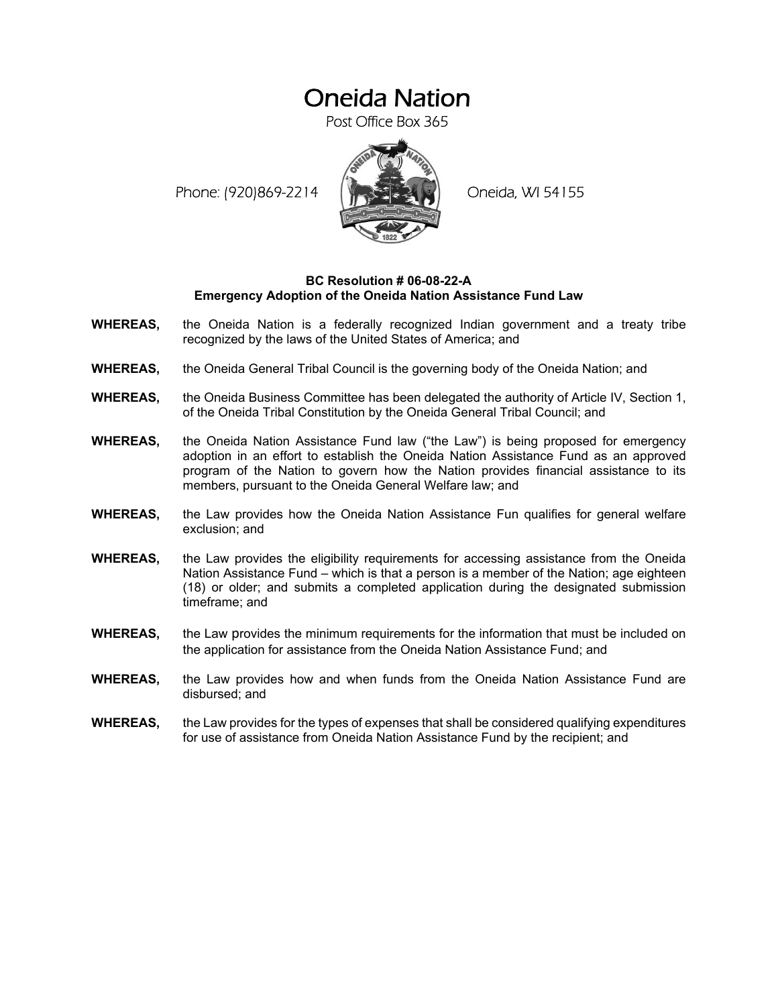## Oneida Nation

Post Office Box 365

Phone: (920)869-2214 (ALCORD Oneida, WI 54155



## **BC Resolution # 06-08-22-A Emergency Adoption of the Oneida Nation Assistance Fund Law**

- **WHEREAS,** the Oneida Nation is a federally recognized Indian government and a treaty tribe recognized by the laws of the United States of America; and
- **WHEREAS,** the Oneida General Tribal Council is the governing body of the Oneida Nation; and
- **WHEREAS,** the Oneida Business Committee has been delegated the authority of Article IV, Section 1, of the Oneida Tribal Constitution by the Oneida General Tribal Council; and
- **WHEREAS,** the Oneida Nation Assistance Fund law ("the Law") is being proposed for emergency adoption in an effort to establish the Oneida Nation Assistance Fund as an approved program of the Nation to govern how the Nation provides financial assistance to its members, pursuant to the Oneida General Welfare law; and
- **WHEREAS,** the Law provides how the Oneida Nation Assistance Fun qualifies for general welfare exclusion; and
- **WHEREAS,** the Law provides the eligibility requirements for accessing assistance from the Oneida Nation Assistance Fund – which is that a person is a member of the Nation; age eighteen (18) or older; and submits a completed application during the designated submission timeframe; and
- **WHEREAS,** the Law provides the minimum requirements for the information that must be included on the application for assistance from the Oneida Nation Assistance Fund; and
- **WHEREAS,** the Law provides how and when funds from the Oneida Nation Assistance Fund are disbursed; and
- **WHEREAS,** the Law provides for the types of expenses that shall be considered qualifying expenditures for use of assistance from Oneida Nation Assistance Fund by the recipient; and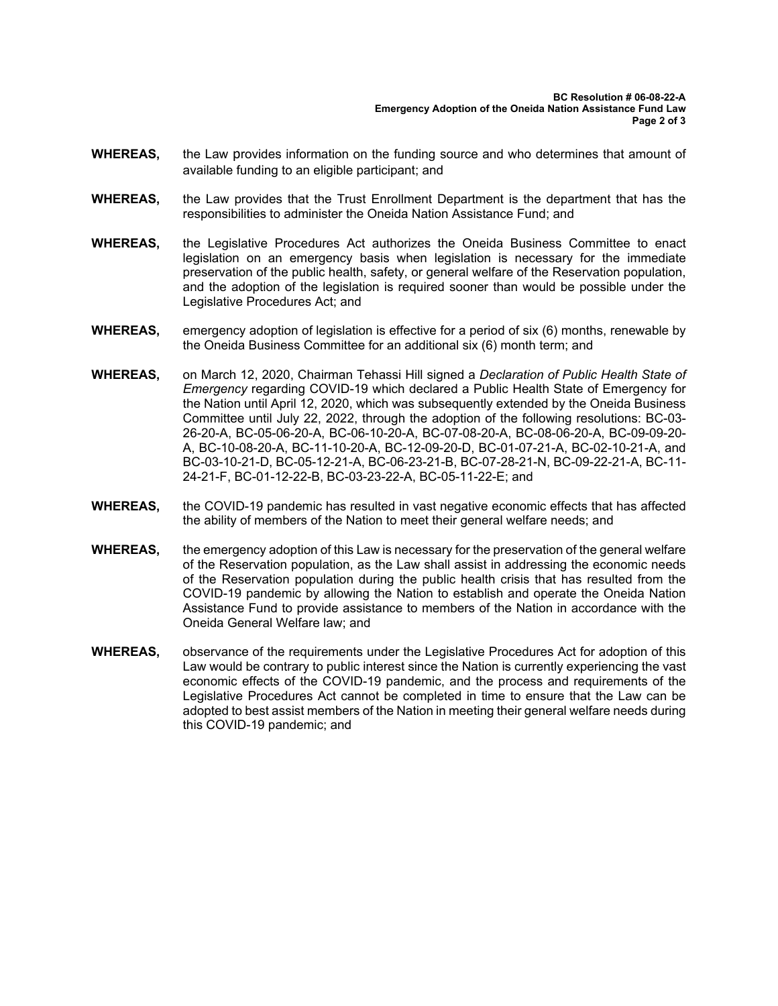- **WHEREAS,** the Law provides information on the funding source and who determines that amount of available funding to an eligible participant; and
- **WHEREAS,** the Law provides that the Trust Enrollment Department is the department that has the responsibilities to administer the Oneida Nation Assistance Fund; and
- **WHEREAS,** the Legislative Procedures Act authorizes the Oneida Business Committee to enact legislation on an emergency basis when legislation is necessary for the immediate preservation of the public health, safety, or general welfare of the Reservation population, and the adoption of the legislation is required sooner than would be possible under the Legislative Procedures Act; and
- **WHEREAS,** emergency adoption of legislation is effective for a period of six (6) months, renewable by the Oneida Business Committee for an additional six (6) month term; and
- **WHEREAS,** on March 12, 2020, Chairman Tehassi Hill signed a *Declaration of Public Health State of Emergency* regarding COVID-19 which declared a Public Health State of Emergency for the Nation until April 12, 2020, which was subsequently extended by the Oneida Business Committee until July 22, 2022, through the adoption of the following resolutions: BC-03- 26-20-A, BC-05-06-20-A, BC-06-10-20-A, BC-07-08-20-A, BC-08-06-20-A, BC-09-09-20- A, BC-10-08-20-A, BC-11-10-20-A, BC-12-09-20-D, BC-01-07-21-A, BC-02-10-21-A, and BC-03-10-21-D, BC-05-12-21-A, BC-06-23-21-B, BC-07-28-21-N, BC-09-22-21-A, BC-11- 24-21-F, BC-01-12-22-B, BC-03-23-22-A, BC-05-11-22-E; and
- **WHEREAS,** the COVID-19 pandemic has resulted in vast negative economic effects that has affected the ability of members of the Nation to meet their general welfare needs; and
- **WHEREAS,** the emergency adoption of this Law is necessary for the preservation of the general welfare of the Reservation population, as the Law shall assist in addressing the economic needs of the Reservation population during the public health crisis that has resulted from the COVID-19 pandemic by allowing the Nation to establish and operate the Oneida Nation Assistance Fund to provide assistance to members of the Nation in accordance with the Oneida General Welfare law; and
- **WHEREAS,** observance of the requirements under the Legislative Procedures Act for adoption of this Law would be contrary to public interest since the Nation is currently experiencing the vast economic effects of the COVID-19 pandemic, and the process and requirements of the Legislative Procedures Act cannot be completed in time to ensure that the Law can be adopted to best assist members of the Nation in meeting their general welfare needs during this COVID-19 pandemic; and